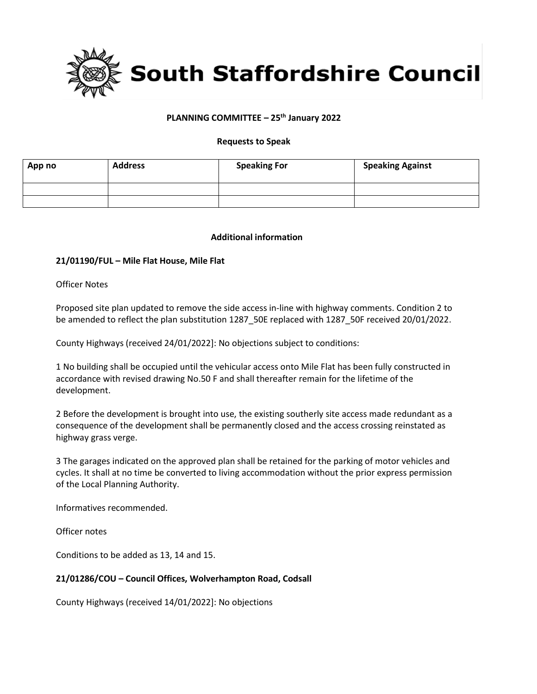

## **PLANNING COMMITTEE – 25th January 2022**

#### **Requests to Speak**

| App no | <b>Address</b> | <b>Speaking For</b> | <b>Speaking Against</b> |
|--------|----------------|---------------------|-------------------------|
|        |                |                     |                         |
|        |                |                     |                         |

#### **Additional information**

### **21/01190/FUL – Mile Flat House, Mile Flat**

Officer Notes

Proposed site plan updated to remove the side access in-line with highway comments. Condition 2 to be amended to reflect the plan substitution 1287 50E replaced with 1287 50F received 20/01/2022.

County Highways (received 24/01/2022]: No objections subject to conditions:

1 No building shall be occupied until the vehicular access onto Mile Flat has been fully constructed in accordance with revised drawing No.50 F and shall thereafter remain for the lifetime of the development.

2 Before the development is brought into use, the existing southerly site access made redundant as a consequence of the development shall be permanently closed and the access crossing reinstated as highway grass verge.

3 The garages indicated on the approved plan shall be retained for the parking of motor vehicles and cycles. It shall at no time be converted to living accommodation without the prior express permission of the Local Planning Authority.

Informatives recommended.

Officer notes

Conditions to be added as 13, 14 and 15.

### **21/01286/COU – Council Offices, Wolverhampton Road, Codsall**

County Highways (received 14/01/2022]: No objections